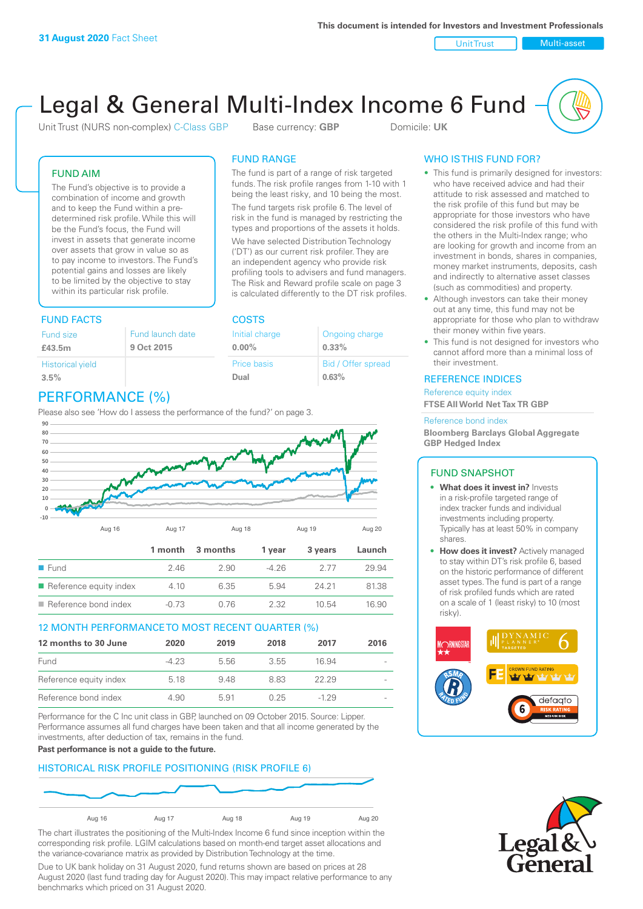Unit Trust Nulti-asset

# Legal & General Multi-Index Income 6 Fund

Unit Trust (NURS non-complex) C-Class GBP Base currency: **GBP** Domicile: UK

The fund is part of a range of risk targeted funds. The risk profile ranges from 1-10 with 1 being the least risky, and 10 being the most. The fund targets risk profile 6. The level of risk in the fund is managed by restricting the types and proportions of the assets it holds. We have selected Distribution Technology ('DT') as our current risk profiler. They are an independent agency who provide risk profiling tools to advisers and fund managers. The Risk and Reward profile scale on page 3 is calculated differently to the DT risk profiles.

> Ongoing charge **0.33%**

Bid / Offer spread

**0.63%**

FUND RANGE

Initial charge **0.00%**

Price basis **Dual**

### FUND AIM

The Fund's objective is to provide a combination of income and growth and to keep the Fund within a predetermined risk profile. While this will be the Fund's focus, the Fund will invest in assets that generate income over assets that grow in value so as to pay income to investors. The Fund's potential gains and losses are likely to be limited by the objective to stay within its particular risk profile.

### FUND FACTS COSTS

| Fund size<br>£43.5m     | Fund launch date<br>9 Oct 2015 |
|-------------------------|--------------------------------|
| <b>Historical yield</b> |                                |
| 3.5%                    |                                |

### PERFORMANCE (%)

Please also see 'How do I assess the performance of the fund?' on page 3.



### 12 MONTH PERFORMANCE TO MOST RECENT QUARTER (%)

| 12 months to 30 June   | 2020   | 2019 | 2018 | 2017   | 2016 |
|------------------------|--------|------|------|--------|------|
| Fund                   | $-423$ | 5.56 | 3.55 | 16.94  |      |
| Reference equity index | 5.18   | 948  | 883  | 22.29  |      |
| Reference bond index   | 4.90   | 5.91 | 0.25 | $-129$ |      |

Performance for the C Inc unit class in GBP, launched on 09 October 2015. Source: Lipper. Performance assumes all fund charges have been taken and that all income generated by the investments, after deduction of tax, remains in the fund.

**Past performance is not a guide to the future.**

### HISTORICAL RISK PROFILE POSITIONING (RISK PROFILE 6)



The chart illustrates the positioning of the Multi-Index Income 6 fund since inception within the corresponding risk profile. LGIM calculations based on month-end target asset allocations and the variance-covariance matrix as provided by Distribution Technology at the time.

Due to UK bank holiday on 31 August 2020, fund returns shown are based on prices at 28 August 2020 (last fund trading day for August 2020). This may impact relative performance to any benchmarks which priced on 31 August 2020.

### WHO IS THIS FUND FOR?

- This fund is primarily designed for investors: who have received advice and had their attitude to risk assessed and matched to the risk profile of this fund but may be appropriate for those investors who have considered the risk profile of this fund with the others in the Multi-Index range; who are looking for growth and income from an investment in bonds, shares in companies, money market instruments, deposits, cash and indirectly to alternative asset classes (such as commodities) and property.
- Although investors can take their money out at any time, this fund may not be appropriate for those who plan to withdraw their money within five years.
- This fund is not designed for investors who cannot afford more than a minimal loss of their investment.

### REFERENCE INDICES

Reference equity index **FTSE All World Net Tax TR GBP**

#### Reference bond index

**Bloomberg Barclays Global Aggregate GBP Hedged Index**

### FUND SNAPSHOT

- **• What does it invest in?** Invests in a risk-profile targeted range of index tracker funds and individual investments including property. Typically has at least 50% in company shares.
- **• How does it invest?** Actively managed to stay within DT's risk profile 6, based on the historic performance of different asset types. The fund is part of a range of risk profiled funds which are rated on a scale of 1 (least risky) to 10 (most risky).



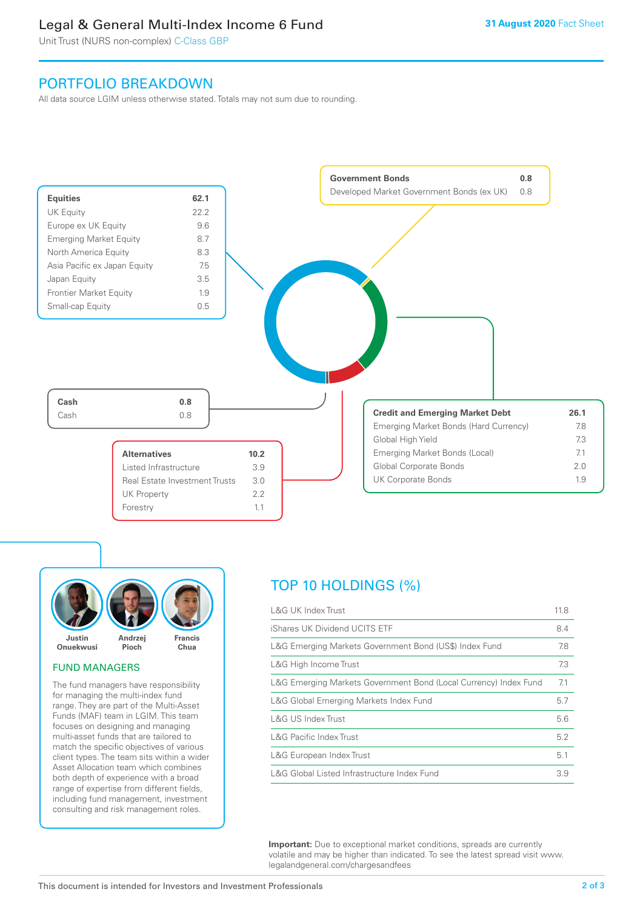### Legal & General Multi-Index Income 6 Fund

Unit Trust (NURS non-complex) C-Class GBP

### PORTFOLIO BREAKDOWN

All data source LGIM unless otherwise stated. Totals may not sum due to rounding.





### FUND MANAGERS

The fund managers have responsibility for managing the multi-index fund range. They are part of the Multi-Asset Funds (MAF) team in LGIM. This team focuses on designing and managing multi-asset funds that are tailored to match the specific objectives of various client types. The team sits within a wider Asset Allocation team which combines both depth of experience with a broad range of expertise from different fields, including fund management, investment consulting and risk management roles.

## TOP 10 HOLDINGS (%)

| <b>L&amp;G UK Index Trust</b>                                    | 11.8 |
|------------------------------------------------------------------|------|
| iShares UK Dividend UCITS ETF                                    | 8.4  |
| L&G Emerging Markets Government Bond (US\$) Index Fund           | 7.8  |
| L&G High Income Trust                                            | 7.3  |
| L&G Emerging Markets Government Bond (Local Currency) Index Fund | 7.1  |
| L&G Global Emerging Markets Index Fund                           | 5.7  |
| L&G US Index Trust                                               | 5.6  |
| <b>L&amp;G Pacific Index Trust</b>                               | 5.2  |
| L&G European Index Trust                                         | 5.1  |
| L&G Global Listed Infrastructure Index Fund                      | 3.9  |

**Important:** Due to exceptional market conditions, spreads are currently volatile and may be higher than indicated. To see the latest spread visit www. legalandgeneral.com/chargesandfees